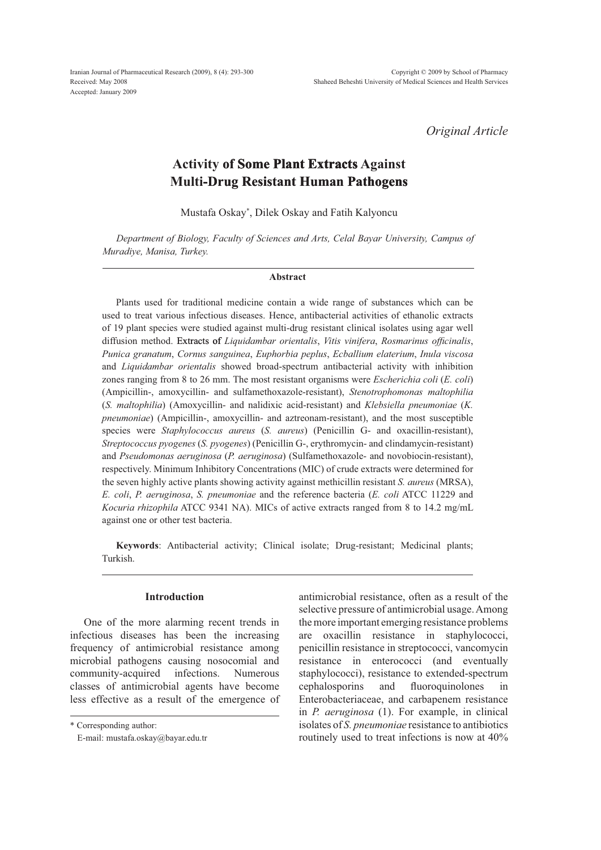*Original Article*

# **Activity of Some Plant Extracts Extracts Against Multi-Drug Resistant Human Pathogens**

Mustafa Oskay\* , Dilek Oskay and Fatih Kalyoncu

*Department of Biology, Faculty of Sciences and Arts, Celal Bayar University, Campus of Muradiye, Manisa, Turkey.*

#### **Abstract**

Plants used for traditional medicine contain a wide range of substances which can be used to treat various infectious diseases. Hence, antibacterial activities of ethanolic extracts of 19 plant species were studied against multi-drug resistant clinical isolates using agar well diffusion method. Extracts of *Liquidambar orientalis*, *Vitis vinifera*, *Rosmarinus officinalis*, *Punica granatum*, *Cornus sanguinea*, *Euphorbia peplus*, *Ecballium elaterium*, *Inula viscosa*  and *Liquidambar orientalis* showed broad-spectrum antibacterial activity with inhibition zones ranging from 8 to 26 mm. The most resistant organisms were *Escherichia coli* (*E. coli*) (Ampicillin-, amoxycillin- and sulfamethoxazole-resistant), *Stenotrophomonas maltophilia* (*S. maltophilia*) (Amoxycillin- and nalidixic acid-resistant) and *Klebsiella pneumoniae* (*K. pneumoniae*) (Ampicillin-, amoxycillin- and aztreonam-resistant), and the most susceptible species were *Staphylococcus aureus* (*S. aureus*) (Penicillin G- and oxacillin-resistant), *Streptococcus pyogenes* (*S. pyogenes*) (Penicillin G-, erythromycin- and clindamycin-resistant) and *Pseudomonas aeruginosa* (*P. aeruginosa*) (Sulfamethoxazole- and novobiocin-resistant), respectively. Minimum Inhibitory Concentrations (MIC) of crude extracts were determined for the seven highly active plants showing activity against methicillin resistant *S. aureus* (MRSA), *E. coli*, *P. aeruginosa*, *S. pneumoniae* and the reference bacteria (*E. coli* ATCC 11229 and *Kocuria rhizophila* ATCC 9341 NA). MICs of active extracts ranged from 8 to 14.2 mg/mL against one or other test bacteria.

**Keywords**: Antibacterial activity; Clinical isolate; Drug-resistant; Medicinal plants; Turkish.

## **Introduction**

One of the more alarming recent trends in infectious diseases has been the increasing frequency of antimicrobial resistance among microbial pathogens causing nosocomial and community-acquired infections. Numerous classes of antimicrobial agents have become less effective as a result of the emergence of

\* Corresponding author:

antimicrobial resistance, often as a result of the selective pressure of antimicrobial usage. Among the more important emerging resistance problems are oxacillin resistance in staphylococci, penicillin resistance in streptococci, vancomycin resistance in enterococci (and eventually staphylococci), resistance to extended-spectrum cephalosporins and fluoroquinolones in Enterobacteriaceae, and carbapenem resistance in *P. aeruginosa* (1). For example, in clinical isolates of *S. pneumoniae* resistance to antibiotics routinely used to treat infections is now at 40%

E-mail: mustafa.oskay@bayar.edu.tr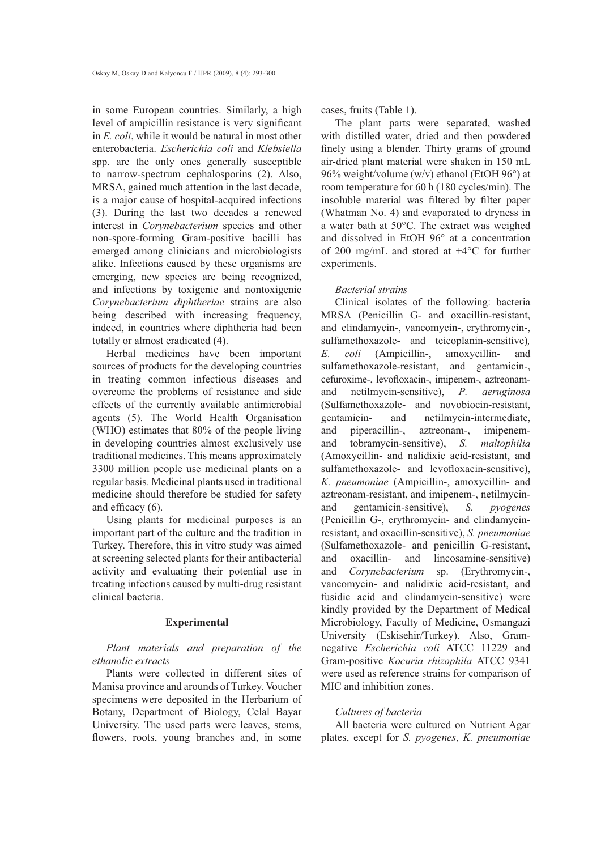in some European countries. Similarly, a high level of ampicillin resistance is very significant in *E. coli*, while it would be natural in most other enterobacteria. *Escherichia coli* and *Klebsiella* spp. are the only ones generally susceptible to narrow-spectrum cephalosporins (2). Also, MRSA, gained much attention in the last decade, is a major cause of hospital-acquired infections (3). During the last two decades a renewed interest in *Corynebacterium* species and other non-spore-forming Gram-positive bacilli has emerged among clinicians and microbiologists alike. Infections caused by these organisms are emerging, new species are being recognized, and infections by toxigenic and nontoxigenic *Corynebacterium diphtheriae* strains are also being described with increasing frequency, indeed, in countries where diphtheria had been totally or almost eradicated (4).

Herbal medicines have been important sources of products for the developing countries in treating common infectious diseases and overcome the problems of resistance and side effects of the currently available antimicrobial agents (5). The World Health Organisation (WHO) estimates that 80% of the people living in developing countries almost exclusively use traditional medicines. This means approximately 3300 million people use medicinal plants on a regular basis. Medicinal plants used in traditional medicine should therefore be studied for safety and efficacy  $(6)$ .

Using plants for medicinal purposes is an important part of the culture and the tradition in Turkey. Therefore, this in vitro study was aimed at screening selected plants for their antibacterial activity and evaluating their potential use in treating infections caused by multi-drug resistant clinical bacteria.

### **Experimental**

*Plant materials and preparation of the ethanolic extracts*

Plants were collected in different sites of Manisa province and arounds of Turkey. Voucher specimens were deposited in the Herbarium of Botany, Department of Biology, Celal Bayar University. The used parts were leaves, stems, flowers, roots, young branches and, in some

cases, fruits (Table 1).

The plant parts were separated, washed with distilled water, dried and then powdered finely using a blender. Thirty grams of ground air-dried plant material were shaken in 150 mL 96% weight/volume (w/v) ethanol (EtOH 96°) at room temperature for 60 h (180 cycles/min). The insoluble material was filtered by filter paper (Whatman No. 4) and evaporated to dryness in a water bath at 50°C. The extract was weighed and dissolved in EtOH 96° at a concentration of 200 mg/mL and stored at +4°C for further experiments.

#### *Bacterial strains*

Clinical isolates of the following: bacteria MRSA (Penicillin G- and oxacillin-resistant, and clindamycin-, vancomycin-, erythromycin-, sulfamethoxazole- and teicoplanin-sensitive)*, E. coli* (Ampicillin-, amoxycillin- and sulfamethoxazole-resistant, and gentamicin-, cefuroxime-, levofloxacin-, imipenem-, aztreonamand netilmycin-sensitive), *P. aeruginosa* (Sulfamethoxazole- and novobiocin-resistant, gentamicin- and netilmycin-intermediate, and piperacillin-, aztreonam-, imipenemand tobramycin-sensitive), *S. maltophilia* (Amoxycillin- and nalidixic acid-resistant, and sulfamethoxazole- and levofloxacin-sensitive), *K. pneumoniae* (Ampicillin-, amoxycillin- and aztreonam-resistant, and imipenem-, netilmycinand gentamicin-sensitive), *S. pyogenes* (Penicillin G-, erythromycin- and clindamycinresistant, and oxacillin-sensitive), *S. pneumoniae* (Sulfamethoxazole- and penicillin G-resistant, and oxacillin- and lincosamine-sensitive) and *Corynebacterium* sp. (Erythromycin-, vancomycin- and nalidixic acid-resistant, and fusidic acid and clindamycin-sensitive) were kindly provided by the Department of Medical Microbiology, Faculty of Medicine, Osmangazi University (Eskisehir/Turkey). Also, Gramnegative *Escherichia coli* ATCC 11229 and Gram-positive *Kocuria rhizophila* ATCC 9341 were used as reference strains for comparison of MIC and inhibition zones.

#### *Cultures of bacteria*

All bacteria were cultured on Nutrient Agar plates, except for *S. pyogenes*, *K. pneumoniae*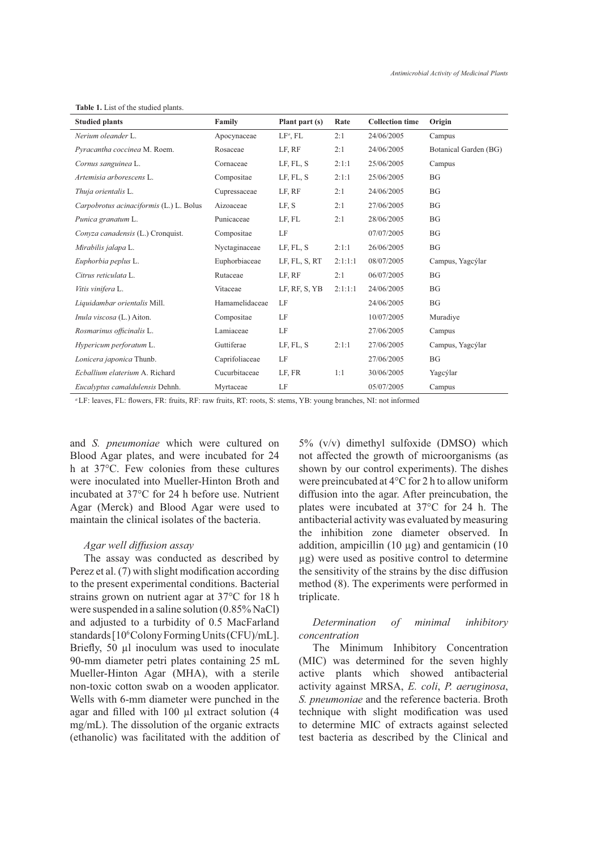**Table 1.** List of the studied plants.

| <b>Studied plants</b>                   | Family         | Plant part (s)<br>Rate |         | <b>Collection time</b> | Origin                |  |
|-----------------------------------------|----------------|------------------------|---------|------------------------|-----------------------|--|
| Nerium oleander L.                      | Apocynaceae    | $LFa$ , FL             | 2:1     | 24/06/2005             | Campus                |  |
| Pyracantha coccinea M. Roem.            | Rosaceae       | LF, RF                 | 2:1     | 24/06/2005             | Botanical Garden (BG) |  |
| Cornus sanguinea L.                     | Cornaceae      | LF, FL, S              | 2:1:1   | 25/06/2005             | Campus                |  |
| Artemisia arborescens L.                | Compositae     | LF, FL, S              | 2:1:1   | 25/06/2005             | <b>BG</b>             |  |
| Thuja orientalis L.                     | Cupressaceae   | LF, RF                 | 2:1     | 24/06/2005             | <b>BG</b>             |  |
| Carpobrotus acinaciformis (L.) L. Bolus | Aizoaceae      | LF, S                  | 2:1     | 27/06/2005             | <b>BG</b>             |  |
| Punica granatum L.                      | Punicaceae     | LF, FL                 | 2:1     | 28/06/2005             | <b>BG</b>             |  |
| Convza canadensis (L.) Cronquist.       | Compositae     | LF                     |         | 07/07/2005             | <b>BG</b>             |  |
| Mirabilis jalapa L.                     | Nyctaginaceae  | LF, FL, S              | 2:1:1   | 26/06/2005             | <b>BG</b>             |  |
| Euphorbia peplus L.                     | Euphorbiaceae  | LF, FL, S, RT          | 2:1:1:1 | 08/07/2005             | Campus, Yagcýlar      |  |
| Citrus reticulata L.                    | Rutaceae       | LF, RF                 | 2:1     | 06/07/2005             | <b>BG</b>             |  |
| Vitis vinifera L.                       | Vitaceae       | LF, RF, S, YB          | 2:1:1:1 | 24/06/2005             | <b>BG</b>             |  |
| Liquidambar orientalis Mill.            | Hamamelidaceae | LF                     |         | 24/06/2005             | <b>BG</b>             |  |
| Inula viscosa (L.) Aiton.               | Compositae     | LF                     |         | 10/07/2005             | Muradiye              |  |
| Rosmarinus officinalis L.               | Lamiaceae      | LF                     |         | 27/06/2005             | Campus                |  |
| Hypericum perforatum L.                 | Guttiferae     | LF, FL, S              | 2:1:1   | 27/06/2005             | Campus, Yagcýlar      |  |
| Lonicera japonica Thunb.                | Caprifoliaceae | LF                     |         | 27/06/2005             | BG                    |  |
| Ecballium elaterium A. Richard          | Cucurbitaceae  | LF, FR                 | 1:1     | 30/06/2005             | Yagcýlar              |  |
| Eucalyptus camaldulensis Dehnh.         | Myrtaceae      | LF                     |         | 05/07/2005             | Campus                |  |

<sup>a</sup>LF: leaves, FL: flowers, FR: fruits, RF: raw fruits, RT: roots, S: stems, YB: young branches, NI: not informed

and *S. pneumoniae* which were cultured on Blood Agar plates, and were incubated for 24 h at 37°C. Few colonies from these cultures were inoculated into Mueller-Hinton Broth and incubated at 37°C for 24 h before use. Nutrient Agar (Merck) and Blood Agar were used to maintain the clinical isolates of the bacteria.

## *Agar well diffusion assay*

The assay was conducted as described by Perez et al.  $(7)$  with slight modification according to the present experimental conditions. Bacterial strains grown on nutrient agar at 37°C for 18 h were suspended in a saline solution (0.85% NaCl) and adjusted to a turbidity of 0.5 MacFarland standards [10<sup>6</sup>Colony Forming Units (CFU)/mL]. Briefly, 50 µl inoculum was used to inoculate 90-mm diameter petri plates containing 25 mL Mueller-Hinton Agar (MHA), with a sterile non-toxic cotton swab on a wooden applicator. Wells with 6-mm diameter were punched in the agar and filled with  $100 \mu l$  extract solution (4 mg/mL). The dissolution of the organic extracts (ethanolic) was facilitated with the addition of 5% (v/v) dimethyl sulfoxide (DMSO) which not affected the growth of microorganisms (as shown by our control experiments). The dishes were preincubated at 4°C for 2 h to allow uniform diffusion into the agar. After preincubation, the plates were incubated at 37°C for 24 h. The antibacterial activity was evaluated by measuring the inhibition zone diameter observed. In addition, ampicillin  $(10 \mu g)$  and gentamicin  $(10 \mu g)$ ug) were used as positive control to determine the sensitivity of the strains by the disc diffusion method (8). The experiments were performed in triplicate.

## *Determination of minimal inhibitory concentration*

The Minimum Inhibitory Concentration (MIC) was determined for the seven highly active plants which showed antibacterial activity against MRSA, *E. coli*, *P. aeruginosa*, *S. pneumoniae* and the reference bacteria. Broth technique with slight modification was used to determine MIC of extracts against selected test bacteria as described by the Clinical and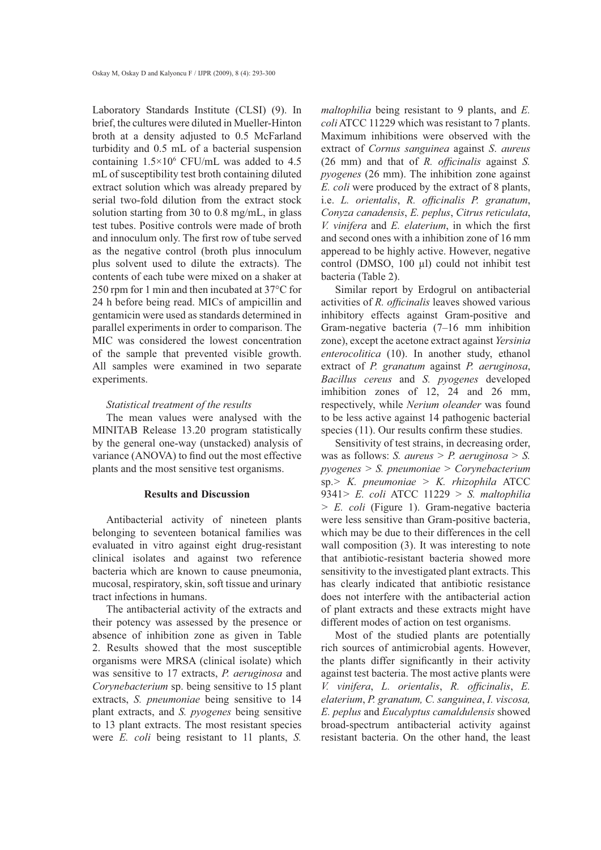Laboratory Standards Institute (CLSI) (9). In brief, the cultures were diluted in Mueller-Hinton broth at a density adjusted to 0.5 McFarland turbidity and 0.5 mL of a bacterial suspension containing  $1.5 \times 10^6$  CFU/mL was added to 4.5 mL of susceptibility test broth containing diluted extract solution which was already prepared by serial two-fold dilution from the extract stock solution starting from 30 to 0.8 mg/mL, in glass test tubes. Positive controls were made of broth and innoculum only. The first row of tube served as the negative control (broth plus innoculum plus solvent used to dilute the extracts). The contents of each tube were mixed on a shaker at 250 rpm for 1 min and then incubated at 37°C for 24 h before being read. MICs of ampicillin and gentamicin were used as standards determined in parallel experiments in order to comparison. The MIC was considered the lowest concentration of the sample that prevented visible growth. All samples were examined in two separate experiments.

#### *Statistical treatment of the results*

The mean values were analysed with the MINITAB Release 13.20 program statistically by the general one-way (unstacked) analysis of variance (ANOVA) to find out the most effective plants and the most sensitive test organisms.

## **Results and Discussion**

Antibacterial activity of nineteen plants belonging to seventeen botanical families was evaluated in vitro against eight drug-resistant clinical isolates and against two reference bacteria which are known to cause pneumonia, mucosal, respiratory, skin, soft tissue and urinary tract infections in humans.

The antibacterial activity of the extracts and their potency was assessed by the presence or absence of inhibition zone as given in Table 2. Results showed that the most susceptible organisms were MRSA (clinical isolate) which was sensitive to 17 extracts, *P. aeruginosa* and *Corynebacterium* sp. being sensitive to 15 plant extracts, *S. pneumoniae* being sensitive to 14 plant extracts, and *S. pyogenes* being sensitive to 13 plant extracts. The most resistant species were *E. coli* being resistant to 11 plants, *S.*

*maltophilia* being resistant to 9 plants, and *E. coli* ATCC 11229 which was resistant to 7 plants. Maximum inhibitions were observed with the extract of *Cornus sanguinea* against *S*. *aureus*  $(26 \text{ mm})$  and that of *R. officinalis* against *S. pyogenes* (26 mm). The inhibition zone against *E. coli* were produced by the extract of 8 plants, i.e. *L. orientalis*, *R. officinalis P. granatum*, *Conyza canadensis*, *E. peplus*, *Citrus reticulata*, *V. vinifera* and *E. elaterium*, in which the first and second ones with a inhibition zone of 16 mm apperead to be highly active. However, negative control (DMSO,  $100 \mu l$ ) could not inhibit test bacteria (Table 2).

Similar report by Erdogrul on antibacterial activities of *R. officinalis* leaves showed various inhibitory effects against Gram-positive and Gram-negative bacteria (7–16 mm inhibition zone), except the acetone extract against *Yersinia enterocolitica* (10). In another study, ethanol extract of *P. granatum* against *P. aeruginosa*, *Bacillus cereus* and *S. pyogenes* developed imhibition zones of 12, 24 and 26 mm, respectively, while *Nerium oleander* was found to be less active against 14 pathogenic bacterial species  $(11)$ . Our results confirm these studies.

Sensitivity of test strains, in decreasing order, was as follows: *S. aureus > P. aeruginosa > S. pyogenes > S. pneumoniae > Corynebacterium* sp.*> K. pneumoniae > K. rhizophila* ATCC 9341*> E. coli* ATCC 11229 *> S. maltophilia > E. coli* (Figure 1). Gram-negative bacteria were less sensitive than Gram-positive bacteria, which may be due to their differences in the cell wall composition (3). It was interesting to note that antibiotic-resistant bacteria showed more sensitivity to the investigated plant extracts. This has clearly indicated that antibiotic resistance does not interfere with the antibacterial action of plant extracts and these extracts might have different modes of action on test organisms.

Most of the studied plants are potentially rich sources of antimicrobial agents. However, the plants differ significantly in their activity against test bacteria. The most active plants were *V. vinifera, L. orientalis, R. officinalis, E. elaterium*, *P. granatum, C. sanguinea*, *I. viscosa, E. peplus* and *Eucalyptus camaldulensis* showed broad-spectrum antibacterial activity against resistant bacteria. On the other hand, the least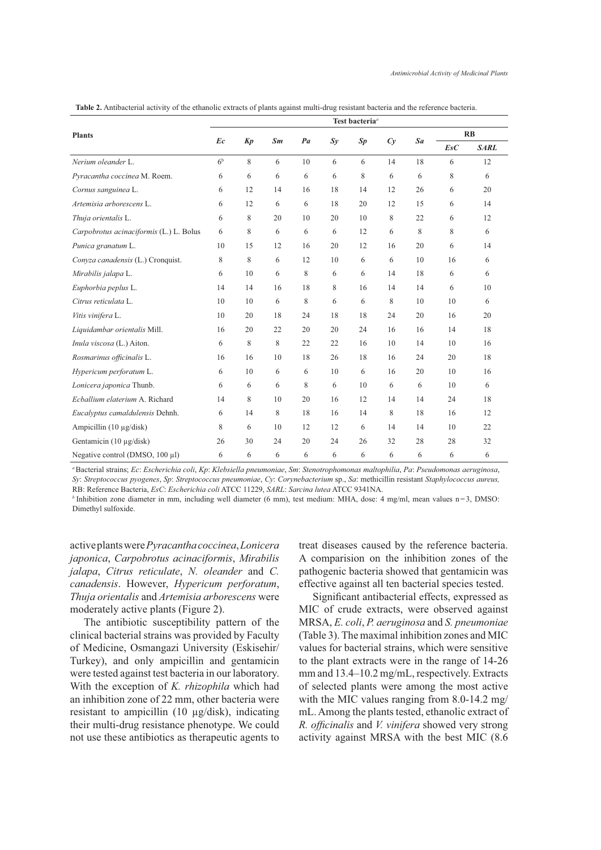| <b>Plants</b>                           | Test bacteria <sup>a</sup> |    |    |    |         |    |    |    |     |             |
|-----------------------------------------|----------------------------|----|----|----|---------|----|----|----|-----|-------------|
|                                         |                            |    | Sm | Pa | $S_{V}$ | Sp | Cv | Sa | RB  |             |
|                                         | Ec                         | Kp |    |    |         |    |    |    | EsC | <b>SARL</b> |
| Nerium oleander L.                      | 6 <sup>b</sup>             | 8  | 6  | 10 | 6       | 6  | 14 | 18 | 6   | 12          |
| Pyracantha coccinea M. Roem.            | 6                          | 6  | 6  | 6  | 6       | 8  | 6  | 6  | 8   | 6           |
| Cornus sanguinea L.                     | 6                          | 12 | 14 | 16 | 18      | 14 | 12 | 26 | 6   | 20          |
| Artemisia arborescens L.                | 6                          | 12 | 6  | 6  | 18      | 20 | 12 | 15 | 6   | 14          |
| Thuja orientalis L.                     | 6                          | 8  | 20 | 10 | 20      | 10 | 8  | 22 | 6   | 12          |
| Carpobrotus acinaciformis (L.) L. Bolus | 6                          | 8  | 6  | 6  | 6       | 12 | 6  | 8  | 8   | 6           |
| Punica granatum L.                      | 10                         | 15 | 12 | 16 | 20      | 12 | 16 | 20 | 6   | 14          |
| Conyza canadensis (L.) Cronquist.       | 8                          | 8  | 6  | 12 | 10      | 6  | 6  | 10 | 16  | 6           |
| Mirabilis jalapa L.                     | 6                          | 10 | 6  | 8  | 6       | 6  | 14 | 18 | 6   | 6           |
| Euphorbia peplus L.                     | 14                         | 14 | 16 | 18 | 8       | 16 | 14 | 14 | 6   | 10          |
| Citrus reticulata L.                    | 10                         | 10 | 6  | 8  | 6       | 6  | 8  | 10 | 10  | 6           |
| Vitis vinifera L.                       | 10                         | 20 | 18 | 24 | 18      | 18 | 24 | 20 | 16  | 20          |
| Liquidambar orientalis Mill.            | 16                         | 20 | 22 | 20 | 20      | 24 | 16 | 16 | 14  | 18          |
| Inula viscosa (L.) Aiton.               | 6                          | 8  | 8  | 22 | 22      | 16 | 10 | 14 | 10  | 16          |
| Rosmarinus officinalis L.               | 16                         | 16 | 10 | 18 | 26      | 18 | 16 | 24 | 20  | 18          |
| Hypericum perforatum L.                 | 6                          | 10 | 6  | 6  | 10      | 6  | 16 | 20 | 10  | 16          |
| Lonicera japonica Thunb.                | 6                          | 6  | 6  | 8  | 6       | 10 | 6  | 6  | 10  | 6           |
| Echallium elaterium A. Richard          | 14                         | 8  | 10 | 20 | 16      | 12 | 14 | 14 | 24  | 18          |
| Eucalyptus camaldulensis Dehnh.         | 6                          | 14 | 8  | 18 | 16      | 14 | 8  | 18 | 16  | 12          |
| Ampicillin (10 μg/disk)                 | 8                          | 6  | 10 | 12 | 12      | 6  | 14 | 14 | 10  | 22          |
| Gentamicin (10 $\mu$ g/disk)            | 26                         | 30 | 24 | 20 | 24      | 26 | 32 | 28 | 28  | 32          |
| Negative control (DMSO, $100 \mu l$ )   | 6                          | 6  | 6  | 6  | 6       | 6  | 6  | 6  | 6   | 6           |

**Table 2.** Antibacterial activity of the ethanolic extracts of plants against multi-drug resistant bacteria and the reference bacteria.

*<sup>a</sup>*Bacterial strains; *Ec*: *Escherichia coli*, *Kp*: *Klebsiella pneumoniae*, *Sm*: *Stenotrophomonas maltophilia*, *Pa*: *Pseudomonas aeruginosa*, *Sy*: *Streptococcus pyogenes*, *Sp*: *Streptococcus pneumoniae*, *Cy*: *Corynebacterium* sp., *Sa*: methicillin resistant *Staphylococcus aureus,*  RB: Reference Bacteria, *EsC*: *Escherichia coli* ATCC 11229, *SARL*: *Sarcina lutea* ATCC 9341NA.

*b* Inhibition zone diameter in mm, including well diameter (6 mm), test medium: MHA, dose: 4 mg/ml, mean values n=3, DMSO: Dimethyl sulfoxide.

active plants were *Pyracantha coccinea*, *Lonicera japonica*, *Carpobrotus acinaciformis*, *Mirabilis jalapa*, *Citrus reticulate*, *N. oleander* and *C. canadensis*. However, *Hypericum perforatum*, *Thuja orientalis* and *Artemisia arborescens* were moderately active plants (Figure 2).

The antibiotic susceptibility pattern of the clinical bacterial strains was provided by Faculty of Medicine, Osmangazi University (Eskisehir/ Turkey), and only ampicillin and gentamicin were tested against test bacteria in our laboratory. With the exception of *K. rhizophila* which had an inhibition zone of 22 mm, other bacteria were resistant to ampicillin  $(10 \mu g/disk)$ , indicating their multi-drug resistance phenotype. We could not use these antibiotics as therapeutic agents to treat diseases caused by the reference bacteria. A comparision on the inhibition zones of the pathogenic bacteria showed that gentamicin was effective against all ten bacterial species tested.

Significant antibacterial effects, expressed as MIC of crude extracts, were observed against MRSA, *E. coli*, *P. aeruginosa* and *S. pneumoniae* (Table 3). The maximal inhibition zones and MIC values for bacterial strains, which were sensitive to the plant extracts were in the range of 14-26 mm and 13.4–10.2 mg/mL, respectively. Extracts of selected plants were among the most active with the MIC values ranging from 8.0-14.2 mg/ mL. Among the plants tested, ethanolic extract of *R. officinalis* and *V. vinifera* showed very strong activity against MRSA with the best MIC (8.6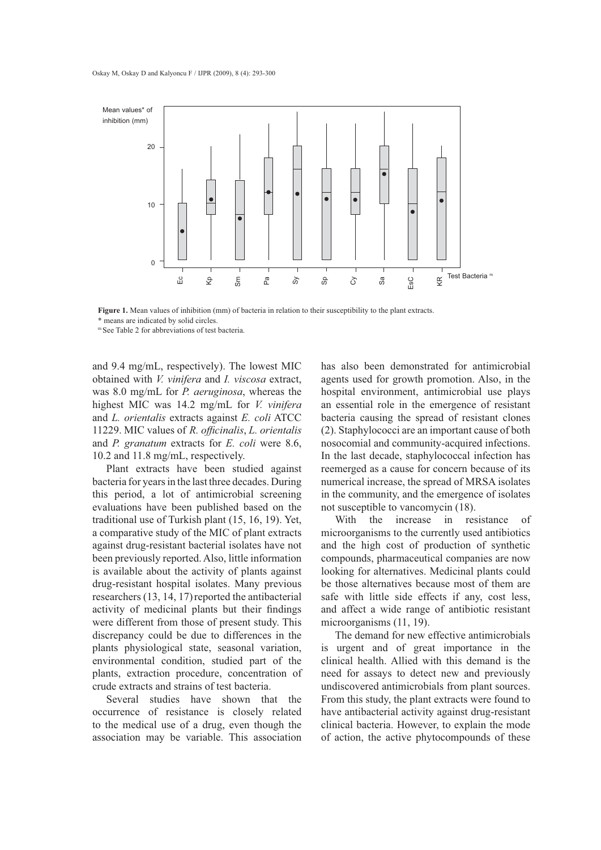

**Figure 1.** Mean values of inhibition (mm) of bacteria in relation to their susceptibility to the plant extracts. \* means are indicated by solid circles.

<sup>m</sup> See Table 2 for abbreviations of test bacteria.

and 9.4 mg/mL, respectively). The lowest MIC obtained with *V. vinifera* and *I. viscosa* extract, was 8.0 mg/mL for *P. aeruginosa*, whereas the highest MIC was 14.2 mg/mL for *V. vinifera*  and *L. orientalis* extracts against *E. coli* ATCC 11229. MIC values of *R. officinalis*, *L. orientalis* and *P. granatum* extracts for *E. coli* were 8.6, 10.2 and 11.8 mg/mL, respectively.

Plant extracts have been studied against bacteria for years in the last three decades. During this period, a lot of antimicrobial screening evaluations have been published based on the traditional use of Turkish plant (15, 16, 19). Yet, a comparative study of the MIC of plant extracts against drug-resistant bacterial isolates have not been previously reported. Also, little information is available about the activity of plants against drug-resistant hospital isolates. Many previous researchers (13, 14, 17) reported the antibacterial activity of medicinal plants but their findings were different from those of present study. This discrepancy could be due to differences in the plants physiological state, seasonal variation, environmental condition, studied part of the plants, extraction procedure, concentration of crude extracts and strains of test bacteria.

Several studies have shown that the occurrence of resistance is closely related to the medical use of a drug, even though the association may be variable. This association has also been demonstrated for antimicrobial agents used for growth promotion. Also, in the hospital environment, antimicrobial use plays an essential role in the emergence of resistant bacteria causing the spread of resistant clones (2). Staphylococci are an important cause of both nosocomial and community-acquired infections. In the last decade, staphylococcal infection has reemerged as a cause for concern because of its numerical increase, the spread of MRSA isolates in the community, and the emergence of isolates not susceptible to vancomycin (18).

With the increase in resistance of microorganisms to the currently used antibiotics and the high cost of production of synthetic compounds, pharmaceutical companies are now looking for alternatives. Medicinal plants could be those alternatives because most of them are safe with little side effects if any, cost less, and affect a wide range of antibiotic resistant microorganisms (11, 19).

The demand for new effective antimicrobials is urgent and of great importance in the clinical health. Allied with this demand is the need for assays to detect new and previously undiscovered antimicrobials from plant sources. From this study, the plant extracts were found to have antibacterial activity against drug-resistant clinical bacteria. However, to explain the mode of action, the active phytocompounds of these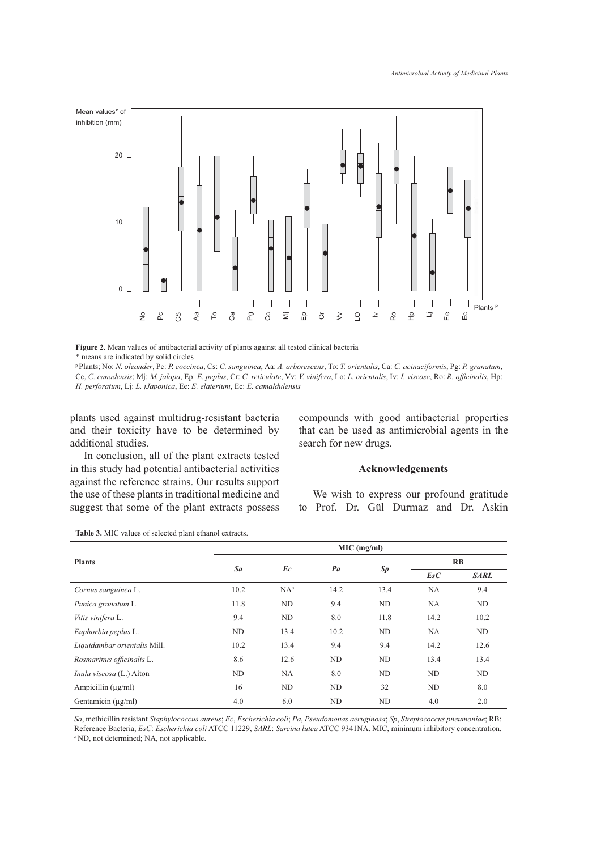

**Figure 2.** Mean values of antibacterial activity of plants against all tested clinical bacteria \* means are indicated by solid circles

pPlants; No: *N. oleander*, Pc: *P. coccinea*, Cs: *C. sanguinea*, Aa: *A. arborescens*, To: *T. orientalis*, Ca: *C. acinaciformis*, Pg: *P. granatum*, Cc, C. canadensis; Mj: *M. jalapa*, Ep: *E. peplus*, Cr: C. reticulate, Vv: *V. vinifera*, Lo: *L. orientalis*, Iv: *I. viscose*, Ro: *R. officinalis*, Hp: *H. perforatum*, Lj: *L. jJaponica*, Ee: *E. elaterium*, Ec: *E. camaldulensis*

plants used against multidrug-resistant bacteria and their toxicity have to be determined by additional studies.

In conclusion, all of the plant extracts tested in this study had potential antibacterial activities against the reference strains. Our results support the use of these plants in traditional medicine and suggest that some of the plant extracts possess compounds with good antibacterial properties that can be used as antimicrobial agents in the search for new drugs.

## **Acknowledgements**

We wish to express our profound gratitude to Prof. Dr. Gül Durmaz and Dr. Askin

**Table 3.** MIC values of selected plant ethanol extracts.

|                              | $MIC$ (mg/ml) |           |      |      |           |             |  |  |
|------------------------------|---------------|-----------|------|------|-----------|-------------|--|--|
| <b>Plants</b>                | Sa            | Ec        | Pa   | Sp   | RB        |             |  |  |
|                              |               |           |      |      | EsC       | <b>SARL</b> |  |  |
| Cornus sanguinea L.          | 10.2          | $NA^a$    | 14.2 | 13.4 | <b>NA</b> | 9.4         |  |  |
| Punica granatum L.           | 11.8          | ND        | 9.4  | ND   | NA.       | ND          |  |  |
| Vitis vinifera L.            | 9.4           | ND        | 8.0  | 11.8 | 14.2      | 10.2        |  |  |
| Euphorbia peplus L.          | ND            | 13.4      | 10.2 | ND   | <b>NA</b> | ND          |  |  |
| Liquidambar orientalis Mill. | 10.2          | 13.4      | 9.4  | 9.4  | 14.2      | 12.6        |  |  |
| Rosmarinus officinalis L.    | 8.6           | 12.6      | ND   | ND   | 13.4      | 13.4        |  |  |
| Inula viscosa (L.) Aiton     | ND            | <b>NA</b> | 8.0  | ND   | ND        | ND          |  |  |
| Ampicillin $(\mu g/ml)$      | 16            | ND        | ND   | 32   | ND        | 8.0         |  |  |
| Gentamicin (µg/ml)           | 4.0           | 6.0       | ND   | ND   | 4.0       | 2.0         |  |  |

*Sa*, methicillin resistant *Staphylococcus aureus*; *Ec*, *Escherichia coli*; *Pa*, *Pseudomonas aeruginosa*; *Sp*, *Streptococcus pneumoniae*; RB: Reference Bacteria, *EsC*: *Escherichia coli* ATCC 11229, *SARL*: *Sarcina lutea* ATCC 9341NA. MIC, minimum inhibitory concentration. *<sup>a</sup>* ND, not determined; NA, not applicable.